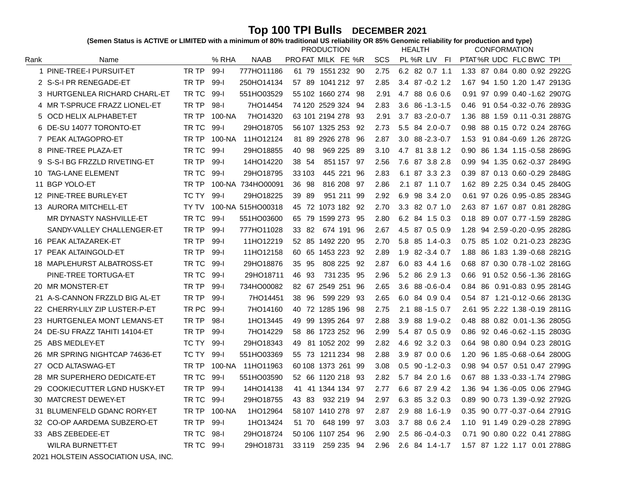Top 100 TPI Bulls DECEMBER 2021<br>(Semen Status is ACTIVE or LIMITED with a minimum of 80% traditional US reliability OR 85% Genomic reliability for production and type)

|      |                               |       |          |                   |          | <b>PRODUCTION</b>  |      |      | <b>HEALTH</b>          | <b>CONFORMATION</b>                  |
|------|-------------------------------|-------|----------|-------------------|----------|--------------------|------|------|------------------------|--------------------------------------|
| Rank | Name                          |       | % RHA    | NAAB              |          | PROFAT MILK FE %R  |      | SCS  | PL %R LIV<br>-FI       | PTAT%R UDC FLC BWC TPI               |
|      | 1 PINE-TREE-I PURSUIT-ET      | TR TP | $99-1$   | 777HO11186        |          | 61 79 1551 232 90  |      | 2.75 | 6.2 82 0.7 1.1         | 1.33 87 0.84 0.80 0.92 2922G         |
|      | 2 S-S-I PR RENEGADE-ET        | TR TP | $99 - 1$ | 250HO14134        | 57 89    | 1041 212 97        |      | 2.85 | $3.4$ 87 $-0.2$ 1.2    | 94 1.50 1.20 1.47 2913G<br>1.67      |
|      | 3 HURTGENLEA RICHARD CHARL-ET | TR TC | $99 - 1$ | 551HO03529        |          | 55 102 1660 274 98 |      | 2.91 | 4.7<br>88 0.6 0.6      | 0.91 97 0.99 0.40 -1.62 2907G        |
|      | 4 MR T-SPRUCE FRAZZ LIONEL-ET | TR TP | 98-l     | 7HO14454          |          | 74 120 2529 324 94 |      | 2.83 | $3.6$ $86 - 1.3 - 1.5$ | 91 0.54 -0.32 -0.76 2893G<br>0.46    |
| 5    | OCD HELIX ALPHABET-ET         | TR TP | 100-NA   | 7HO14320          |          | 63 101 2194 278    | - 93 | 2.91 | $3.7$ $83 - 2.0 - 0.7$ | 88 1.59 0.11 - 0.31 2887G<br>1.36    |
|      | 6 DE-SU 14077 TORONTO-ET      | TR TC | $99 - 1$ | 29HO18705         |          | 56 107 1325 253    | - 92 | 2.73 | 5.5 84 2.0 - 0.7       | 88 0.15 0.72 0.24 2876G<br>0.98      |
|      | 7 PEAK ALTAGOPRO-ET           | TR TP | 100-NA   | 11HO12124         |          | 81 89 2926 278     | -96  | 2.87 | $3.0$ $88 - 2.3 - 0.7$ | 91 0.84 - 0.69 1.26 2872G<br>1.53    |
|      | 8 PINE-TREE PLAZA-ET          | TR TC | $99 - 1$ | 29HO18855         | 40 98    | 969 225 89         |      | 3.10 | 4.7 81 3.8 1.2         | 86 1.34 1.15 - 0.58 2869G<br>0.90    |
| 9    | S-S-I BG FRZZLD RIVETING-ET   | TR TP | $99 - 1$ | 14HO14220         | 38 54    | 851 157 97         |      | 2.56 | 7.6 87 3.8 2.8         | 0.99 94 1.35 0.62 -0.37 2849G        |
| 10   | <b>TAG-LANE ELEMENT</b>       | TR TC | $99 - 1$ | 29HO18795         | 33 103   | 445 221 96         |      | 2.83 | 6.1 87 3.3 2.3         | 0.39 87 0.13 0.60 -0.29 2848G        |
|      | 11 BGP YOLO-ET                | TR TP | 100-NA   | 734HO00091        | 36 98    | 816 208 97         |      | 2.86 | 2.1 87 1.1 0.7         | 1.62 89 2.25 0.34 0.45 2840G         |
|      | 12 PINE-TREE BURLEY-ET        | TC TY | $99-1$   | 29HO18225         | 39 89    | 951 211 99         |      | 2.92 | 6.9 98 3.4 2.0         | 0.61 97 0.26 0.95 -0.85 2834G        |
| 13   | AURORA MITCHELL-ET            | TY TV |          | 100-NA 515HO00318 |          | 45 72 1073 182 92  |      | 2.70 | 3.3 82 0.7 1.0         | 2.63 87 1.67 0.87 0.81 2828G         |
|      | MR DYNASTY NASHVILLE-ET       | TR TC | $99-1$   | 551HO03600        |          | 65 79 1599 273     | 95   | 2.80 | 6.2 84 1.5 0.3         | 89 0.07 0.77 -1.59 2828G<br>0.18     |
|      | SANDY-VALLEY CHALLENGER-ET    | TR TP | $99 - 1$ | 777HO11028        | 33 82    | 674 191 96         |      | 2.67 | 4.5 87 0.5 0.9         | 94 2.59 - 0.20 - 0.95 2828 G<br>1.28 |
|      | 16 PEAK ALTAZAREK-ET          | TR TP | $99 - 1$ | 11HO12219         |          | 52 85 1492 220     | -95  | 2.70 | 5.8 85 1.4-0.3         | 85 1.02 0.21-0.23 2823G<br>0.75      |
|      | 17 PEAK ALTAINGOLD-ET         | TR TP | $99 - 1$ | 11HO12158         |          | 60 65 1453 223     | -92  | 2.89 | 1.9 82 - 3.4 0.7       | 86 1.83 1.39 - 0.68 2821G<br>1.88    |
|      | 18 MAPLEHURST ALBATROSS-ET    | TR TC | $99 - 1$ | 29HO18876         | 35 95    | 808 225            | - 92 | 2.87 | 6.0 83 4.4 1.6         | 0.68 87 0.30 0.78 -1.02 2816G        |
|      | PINE-TREE TORTUGA-ET          | TR TC | $99 - 1$ | 29HO18711         | 46 93    | 731 235 95         |      | 2.96 | 5.2 86 2.9 1.3         | 91 0.52 0.56 -1.36 2816G<br>0.66     |
| 20   | <b>MR MONSTER-ET</b>          | TR TP | $99 - 1$ | 734HO00082        |          | 82 67 2549 251 96  |      | 2.65 | $3.6$ $88 - 0.6 - 0.4$ | 86 0.91-0.83 0.95 2814G<br>0.84      |
|      | A-S-CANNON FRZZLD BIG AL-ET   | TR TP | $99 - 1$ | 7HO14451          | 38 96    | 599 229 93         |      | 2.65 | 6.0 84 0.9 0.4         | 0.54 87 1.21-0.12-0.66 2813G         |
| 22   | CHERRY-LILY ZIP LUSTER-P-ET   | TR PC | 99-l     | 7HO14160          |          | 40 72 1285 196 98  |      | 2.75 | 2.1 88 -1.5 0.7        | 2.61 95 2.22 1.38 -0.19 2811G        |
| 23   | HURTGENLEA MONT LEMANS-ET     | TR TP | $98-1$   | 1HO13445          | 49       | 99 1395 264 97     |      | 2.88 | 3.9 88 1.9-0.2         | 88 0.82 0.01-1.36 2805G<br>0.48      |
| 24   | DE-SU FRAZZ TAHITI 14104-ET   | TR TP | $99 - 1$ | 7HO14229          | 58       | 86 1723 252 96     |      | 2.99 | 5.4 87 0.5 0.9         | 92 0.46 - 0.62 - 1.15 2803G<br>0.86  |
| 25   | <b>ABS MEDLEY-ET</b>          | TC TY | $99 - 1$ | 29HO18343         | 49       | 81 1052 202 99     |      | 2.82 | 4.6 92 3.2 0.3         | 98 0.80 0.94 0.23 2801G<br>0.64      |
| 26   | MR SPRING NIGHTCAP 74636-ET   | TC TY | $99 - 1$ | 551HO03369        |          | 55 73 1211 234     | -98  | 2.88 | 3.9 87 0.0 0.6         | 96 1.85 - 0.68 - 0.64 2800G<br>1.20  |
| 27   | OCD ALTASWAG-ET               | TR TP | 100-NA   | 11HO11963         |          | 60 108 1373 261 99 |      | 3.08 | $0.5$ 90 -1.2 -0.3     | 94 0.57 0.51 0.47 2799G<br>0.98      |
| 28   | MR SUPERHERO DEDICATE-ET      | TR TC | $99 - 1$ | 551HO03590        |          | 52 66 1120 218 93  |      | 2.82 | 5.7 84 2.0 1.6         | 88 1.33 - 0.33 - 1.74 2798G<br>0.67  |
| 29   | COOKIECUTTER LGND HUSKY-ET    | TR TP | $99 - 1$ | 14HO14138         |          | 41 41 1344 134 97  |      | 2.77 | 6.6 87 2.9 4.2         | 94 1.36 - 0.05 0.06 2794G<br>1.36    |
| 30   | MATCREST DEWEY-ET             | TR TC | $99 - 1$ | 29HO18755         | 43 83    | 932 219 94         |      | 2.97 | 6.3 85 3.2 0.3         | 90 0.73 1.39 -0.92 2792G<br>0.89     |
|      | 31 BLUMENFELD GDANC RORY-ET   | TR TP | 100-NA   | 1HO12964          |          | 58 107 1410 278 97 |      | 2.87 | 2.9 88 1.6-1.9         | 90 0.77 -0.37 -0.64 2791G<br>0.35    |
|      | 32 CO-OP AARDEMA SUBZERO-ET   | TR TP | $99 - 1$ | 1HO13424          | 51 70    | 648 199 97         |      | 3.03 | 3.7 88 0.6 2.4         | 91 1.49 0.29 -0.28 2789G<br>1.10     |
| 33   | ABS ZEBEDEE-ET                | TR TC | 98-l     | 29HO18724         |          | 50 106 1107 254    | 96   | 2.90 | $2.5$ 86 - 0.4 - 0.3   | 90 0.80 0.22 0.41 2788G<br>0.71      |
|      | <b>WILRA BURNETT-ET</b>       | TR TC | 99-l     | 29HO18731         | 33 1 1 9 | 259 235 94         |      | 2.96 | 2.6 84 1.4-1.7         | 1.57 87 1.22 1.17 0.01 2788G         |

 $^\copyright$  2021 HOLSTEIN ASSOCIATION USA, INC.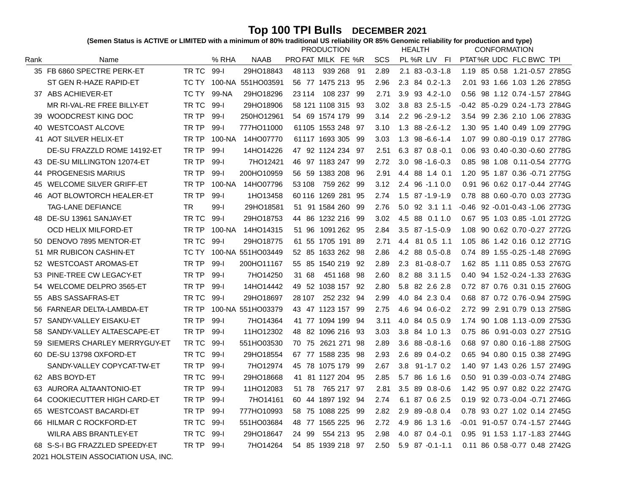Top 100 TPI Bulls DECEMBER 2021<br>(Semen Status is ACTIVE or LIMITED with a minimum of 80% traditional US reliability OR 85% Genomic reliability for production and type)

|      |                                |           |          |                   | <b>PRODUCTION</b>    |      |      | <b>HEALTH</b>            | <b>CONFORMATION</b>                 |
|------|--------------------------------|-----------|----------|-------------------|----------------------|------|------|--------------------------|-------------------------------------|
| Rank | Name                           |           | % RHA    | NAAB              | PROFAT MILK FE %R    |      | SCS  | PL%R LIV FI              | PTAT%R UDC FLC BWC TPI              |
|      | 35 FB 6860 SPECTRE PERK-ET     | TR TC     | $99 - 1$ | 29HO18843         | 48 113<br>939 268    | -91  | 2.89 | $2.1$ 83 - $0.3$ - $1.8$ | 1.19 85 0.58 1.21-0.57 2785G        |
|      | ST GEN R-HAZE RAPID-ET         | TC TY     |          | 100-NA 551HO03591 | 56 77 1475 213       | -95  | 2.96 | 2.3 84 0.2-1.3           | 2.01 93 1.66 1.03 1.26 2785G        |
|      | 37 ABS ACHIEVER-ET             | TC TY     | 99-NA    | 29HO18296         | 23 1 14<br>108 237   | -99  | 2.71 | 3.9 93 4.2-1.0           | 0.56<br>98 1.12 0.74 -1.57 2784G    |
|      | MR RI-VAL-RE FREE BILLY-ET     | TR TC     | $99 - 1$ | 29HO18906         | 58 121 1108 315      | -93  | 3.02 | 3.8 83 2.5-1.5           | -0.42 85 -0.29 0.24 -1.73 2784G     |
| 39   | WOODCREST KING DOC             | TR TP     | $99-I$   | 250HO12961        | 54 69 1574 179       | -99  | 3.14 | $2.2$ 96 - $2.9$ - $1.2$ | 99 2.36 2.10 1.06 2783G<br>3.54     |
| 40   | <b>WESTCOAST ALCOVE</b>        | TR TP     | $99 - 1$ | 777HO11000        | 61105 1553 248       | -97  | 3.10 | $1.3$ 88 - $2.6$ - $1.2$ | 95 1.40 0.49 1.09 2779G<br>1.30     |
|      | 41 AOT SILVER HELIX-ET         | TR TP     | 100-NA   | 14HO07770         | 61117 1693 305       | -99  | 3.03 | $1.3$ 98 - 6.6 - 1.4     | 99 0.80 - 0.19 0.17 2778G<br>1.07   |
|      | DE-SU FRAZZLD ROME 14192-ET    | TR TP     | $99-I$   | 14HO14226         | 47 92 1124 234       | -97  | 2.51 | $6.3$ 87 0.8 -0.1        | 93 0.40 -0.30 -0.60 2778G<br>0.06   |
|      | 43 DE-SU MILLINGTON 12074-ET   | TR TP     | $99 - 1$ | 7HO12421          | 46 97 1183 247       | -99  | 2.72 | $3.0$ $98 - 1.6 - 0.3$   | 0.85 98 1.08 0.11-0.54 2777G        |
| 44   | <b>PROGENESIS MARIUS</b>       | TR TP     | $99 - 1$ | 200HO10959        | 56 59 1383 208       | 96   | 2.91 | 4.4 88 1.4 0.1           | 1.20 95 1.87 0.36 -0.71 2775G       |
| 45   | <b>WELCOME SILVER GRIFF-ET</b> | TR TP     | 100-NA   | 14HO07796         | 53 108<br>759 262    | - 99 | 3.12 | 2.4 96 -1.1 0.0          | 0.91 96 0.62 0.17 -0.44 2774G       |
|      | 46 AOT BLOWTORCH HEALER-ET     | TR TP     | $99 - 1$ | 1HO13458          | 60 116 1269 281      | - 95 | 2.74 | $1.5$ 87 -1.9 -1.9       | 0.78 88 0.60 -0.70 0.03 2773G       |
|      | <b>TAG-LANE DEFIANCE</b>       | <b>TR</b> | $99 - 1$ | 29HO18581         | 51 91 1584 260       | -99  | 2.76 | 5.0 92 3.1 1.1           | -0.46 92 -0.01 -0.43 -1.06 2773G    |
|      | 48 DE-SU 13961 SANJAY-ET       | TR TC     | $99 - 1$ | 29HO18753         | 44 86 1232 216       | -99  | 3.02 | 4.5<br>88 0.1 1.0        | 95 1.03 0.85 -1.01 2772G<br>0.67    |
|      | <b>OCD HELIX MILFORD-ET</b>    | TR TP     | 100-NA   | 14HO14315         | 51 96<br>1091 262    | -95  | 2.84 | $3.5$ $87 - 1.5 - 0.9$   | 90 0.62 0.70 -0.27 2772G<br>1.08    |
| 50   | DENOVO 7895 MENTOR-ET          | TR TC     | $99-I$   | 29HO18775         | 61 55 1705 191       | -89  | 2.71 | 4.4<br>81 0.5 1.1        | 86 1.42 0.16 0.12 2771G<br>1.05     |
| 51   | <b>MR RUBICON CASHIN-ET</b>    | TC TY     |          | 100-NA 551HO03449 | 52 85 1633 262       | - 98 | 2.86 | 4.2 88 0.5-0.8           | 0.74 89 1.55 - 0.25 - 1.48 2769G    |
| 52   | <b>WESTCOAST AROMAS-ET</b>     | TR TP     | $99 - 1$ | 200HO11167        | 55 85 1540 219       | 92   | 2.89 | 2.3<br>$81 - 0.8 - 0.7$  | 1.62 85 1.11 0.85 0.53 2767G        |
| 53   | PINE-TREE CW LEGACY-ET         | TR TP     | $99-I$   | 7HO14250          | 31 68<br>451 168     | -98  | 2.60 | 8.2 88 3.1 1.5           | 0.40 94 1.52 - 0.24 - 1.33 2763G    |
| 54   | WELCOME DELPRO 3565-ET         | TR TP     | $99 - 1$ | 14HO14442         | 49 52 1038 157 92    |      | 2.80 | 5.8 82 2.6 2.8           | 0.72 87 0.76 0.31 0.15 2760G        |
| 55   | ABS SASSAFRAS-ET               | TR TC     | $99 - 1$ | 29HO18697         | 252 232 94<br>28 107 |      | 2.99 | 4.0 84 2.3 0.4           | 0.68 87 0.72 0.76 -0.94 2759G       |
| 56   | FARNEAR DELTA-LAMBDA-ET        | TR TP     |          | 100-NA 551HO03379 | 43 47 1123 157 99    |      | 2.75 | 4.6 94 0.6 - 0.2         | 2.72 99 2.91 0.79 0.13 2758G        |
| 57   | SANDY-VALLEY EISAKU-ET         | TR TP     | $99 - 1$ | 7HO14364          | 41 77 1094 199       | - 94 | 3.11 | 4.0 84 0.5 0.9           | 1.74 90 1.08 1.13 -0.09 2753G       |
| 58   | SANDY-VALLEY ALTAESCAPE-ET     | TR TP     | $99-I$   | 11HO12302         | 48 82 1096 216 93    |      | 3.03 | 3.8 84 1.0 1.3           | 0.75 86 0.91-0.03 0.27 2751G        |
| 59   | SIEMERS CHARLEY MERRYGUY-ET    | TR TC     | $99 - 1$ | 551HO03530        | 70 75 2621 271 98    |      | 2.89 | 3.6<br>88 -0.8 -1.6      | 0.68 97 0.80 0.16 -1.88 2750G       |
| 60.  | DE-SU 13798 OXFORD-ET          | TR TC     | $99 - 1$ | 29HO18554         | 67 77 1588 235       | -98  | 2.93 | 2.6<br>89 0.4 - 0.2      | 0.65 94 0.80 0.15 0.38 2749G        |
|      | SANDY-VALLEY COPYCAT-TW-ET     | TR TP     | $99 - 1$ | 7HO12974          | 45 78 1075 179       | -99  | 2.67 | $91 - 1.7$ 0.2<br>3.8    | 1.40 97 1.43 0.26 1.57 2749G        |
|      | 62 ABS BOYD-ET                 | TR TC     | $99 - 1$ | 29HO18668         | 41 81 1127 204       | -95  | 2.85 | 5.7<br>86 1.6 1.6        | 91 0.39 - 0.03 - 0.74 2748G<br>0.50 |
| 63   | AURORA ALTAANTONIO-ET          | TR TP     | 99-l     | 11HO12083         | 51 78<br>765 217     | -97  | 2.81 | 3.5<br>89 0.8 - 0.6      | 95 0.97 0.82 0.22 2747G<br>1.42     |
| 64   | COOKIECUTTER HIGH CARD-ET      | TR TP     | $99 - 1$ | 7HO14161          | 60 44 1897 192       | - 94 | 2.74 | 6.1 87 0.6 2.5           | 0.19 92 0.73 - 0.04 - 0.71 2746G    |
| 65   | <b>WESTCOAST BACARDI-ET</b>    | TR TP     | $99 - 1$ | 777HO10993        | 58 75 1088 225       | -99  | 2.82 | 2.9 89 - 0.8 0.4         | 93 0.27 1.02 0.14 2745G<br>0.78     |
|      | 66 HILMAR C ROCKFORD-ET        | TR TC     | 99-l     | 551HO03684        | 48 77 1565 225       | -96  | 2.72 | 4.9<br>86 1.3 1.6        | 91-0.57 0.74 -1.57 2744G<br>-0.01   |
|      | <b>WILRA ABS BRANTLEY-ET</b>   | TR TC     | $99 - 1$ | 29HO18647         | -99<br>554 213<br>24 | -95  | 2.98 | 4.0 87 0.4 -0.1          | 91 1.53 1.17 -1.83 2744G<br>0.95    |
|      | 68 S-S-I BG FRAZZLED SPEEDY-ET | TR TP     | $99 - 1$ | 7HO14264          | 54 85 1939 218 97    |      | 2.50 | $5.9$ $87 -0.1 -1.1$     | 0.11 86 0.58 - 0.77 0.48 2742G      |

 $^\copyright$  2021 HOLSTEIN ASSOCIATION USA, INC.